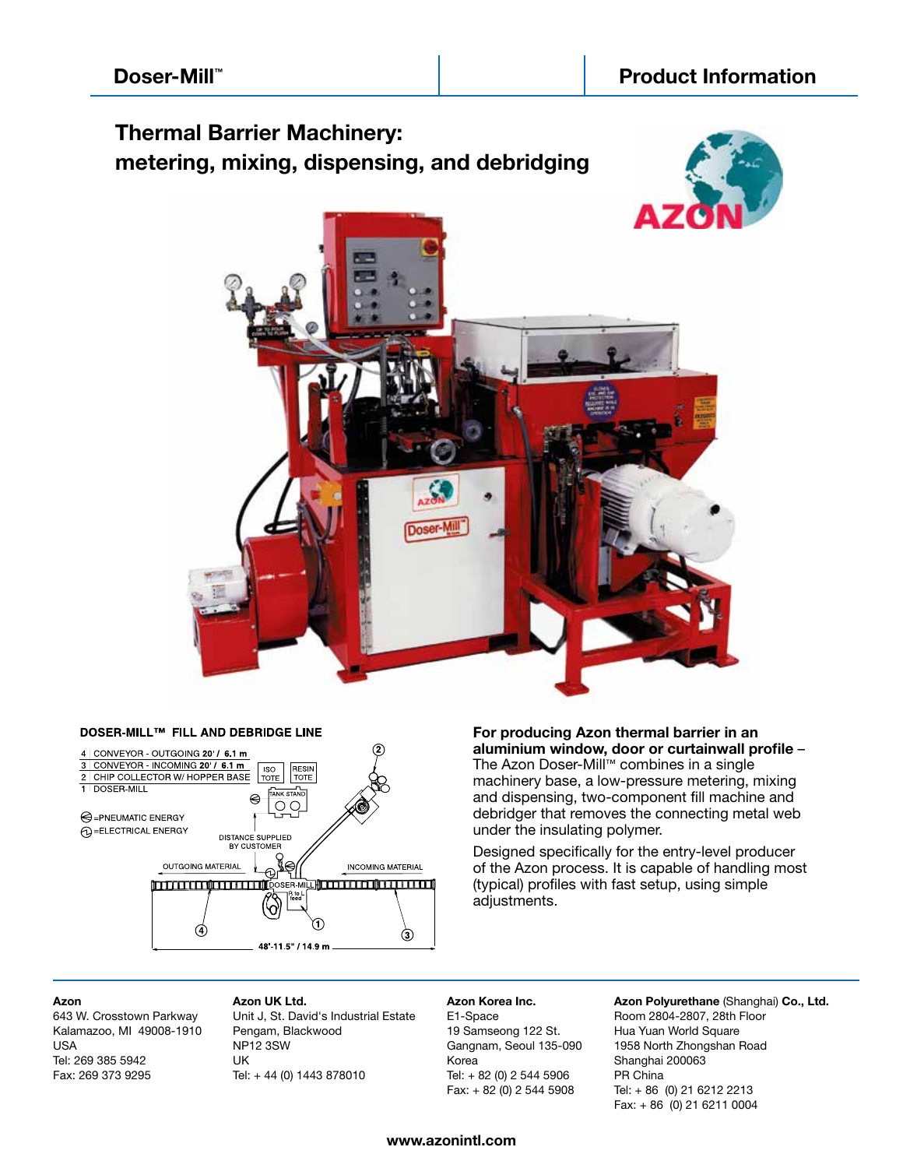## **Thermal Barrier Machinery: metering, mixing, dispensing, and debridging**







#### DOSER-MILL™ FILL AND DEBRIDGE LINE

**For producing Azon thermal barrier in an aluminium window, door or curtainwall profile** – The Azon Doser-Mill™ combines in a single machinery base, a low-pressure metering, mixing and dispensing, two-component fill machine and debridger that removes the connecting metal web under the insulating polymer.

Designed specifically for the entry-level producer of the Azon process. It is capable of handling most (typical) profiles with fast setup, using simple adjustments.

#### **Azon**

643 W. Crosstown Parkway Kalamazoo, MI 49008-1910 USA Tel: 269 385 5942 Fax: 269 373 9295

**Azon UK Ltd.** Unit J, St. David's Industrial Estate Pengam, Blackwood NP12 3SW UK Tel: + 44 (0) 1443 878010

## **Azon Korea Inc.** E1-Space

19 Samseong 122 St. Gangnam, Seoul 135-090 Korea Tel: + 82 (0) 2 544 5906 Fax: + 82 (0) 2 544 5908

**Azon Polyurethane** (Shanghai) **Co., Ltd.** Room 2804-2807, 28th Floor Hua Yuan World Square 1958 North Zhongshan Road Shanghai 200063 PR China Tel: + 86 (0) 21 6212 2213 Fax: + 86 (0) 21 6211 0004

### **www.azonintl.com**